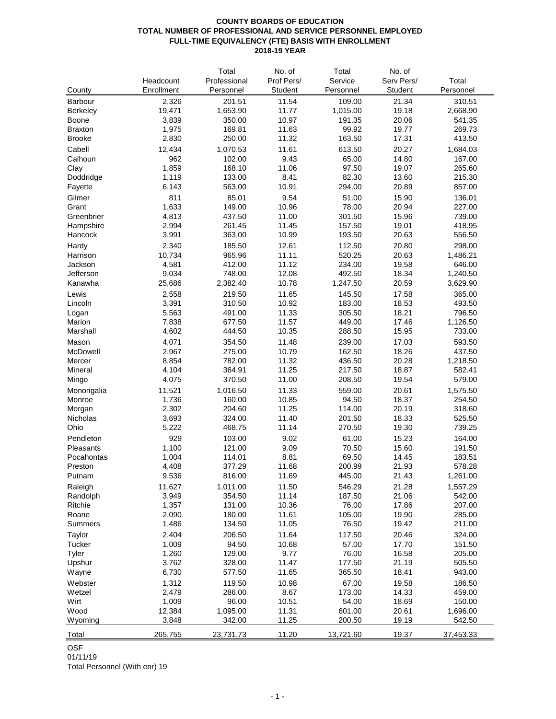## **COUNTY BOARDS OF EDUCATION TOTAL NUMBER OF PROFESSIONAL AND SERVICE PERSONNEL EMPLOYED FULL-TIME EQUIVALENCY (FTE) BASIS WITH ENROLLMENT 2018-19 YEAR**

|                 |            | Total            | No. of     | Total          | No. of         |                  |
|-----------------|------------|------------------|------------|----------------|----------------|------------------|
|                 | Headcount  | Professional     | Prof Pers/ | Service        | Serv Pers/     | Total            |
| County          | Enrollment | Personnel        | Student    | Personnel      | Student        | Personnel        |
| Barbour         | 2,326      | 201.51           | 11.54      | 109.00         | 21.34          | 310.51           |
| Berkeley        | 19,471     | 1,653.90         | 11.77      | 1,015.00       | 19.18          | 2,668.90         |
| Boone           | 3,839      | 350.00           | 10.97      | 191.35         | 20.06          | 541.35           |
| <b>Braxton</b>  | 1,975      | 169.81           | 11.63      | 99.92          | 19.77          | 269.73           |
| <b>Brooke</b>   | 2,830      | 250.00           | 11.32      | 163.50         | 17.31          | 413.50           |
| Cabell          | 12,434     |                  | 11.61      | 613.50         | 20.27          |                  |
|                 | 962        | 1,070.53         | 9.43       |                |                | 1,684.03         |
| Calhoun<br>Clay | 1,859      | 102.00<br>168.10 | 11.06      | 65.00<br>97.50 | 14.80          | 167.00           |
|                 | 1,119      | 133.00           | 8.41       | 82.30          | 19.07<br>13.60 | 265.60<br>215.30 |
| Doddridge       | 6,143      | 563.00           | 10.91      | 294.00         | 20.89          | 857.00           |
| Fayette         |            |                  |            |                |                |                  |
| Gilmer          | 811        | 85.01            | 9.54       | 51.00          | 15.90          | 136.01           |
| Grant           | 1,633      | 149.00           | 10.96      | 78.00          | 20.94          | 227.00           |
| Greenbrier      | 4,813      | 437.50           | 11.00      | 301.50         | 15.96          | 739.00           |
| Hampshire       | 2,994      | 261.45           | 11.45      | 157.50         | 19.01          | 418.95           |
| Hancock         | 3,991      | 363.00           | 10.99      | 193.50         | 20.63          | 556.50           |
| Hardy           | 2,340      | 185.50           | 12.61      | 112.50         | 20.80          | 298.00           |
| Harrison        | 10,734     | 965.96           | 11.11      | 520.25         | 20.63          | 1,486.21         |
| Jackson         | 4,581      | 412.00           | 11.12      | 234.00         | 19.58          | 646.00           |
| Jefferson       | 9,034      | 748.00           | 12.08      | 492.50         | 18.34          | 1,240.50         |
| Kanawha         | 25,686     | 2,382.40         | 10.78      | 1,247.50       | 20.59          | 3,629.90         |
| Lewis           | 2,558      | 219.50           | 11.65      | 145.50         | 17.58          | 365.00           |
| Lincoln         | 3,391      | 310.50           | 10.92      | 183.00         | 18.53          | 493.50           |
| Logan           | 5,563      | 491.00           | 11.33      | 305.50         | 18.21          | 796.50           |
| Marion          | 7,838      | 677.50           | 11.57      | 449.00         | 17.46          | 1,126.50         |
| Marshall        | 4,602      | 444.50           | 10.35      | 288.50         | 15.95          | 733.00           |
| Mason           | 4,071      | 354.50           | 11.48      | 239.00         | 17.03          | 593.50           |
| McDowell        | 2,967      | 275.00           | 10.79      | 162.50         | 18.26          | 437.50           |
| Mercer          | 8,854      | 782.00           | 11.32      | 436.50         | 20.28          | 1,218.50         |
| Mineral         | 4,104      | 364.91           | 11.25      | 217.50         | 18.87          | 582.41           |
| Mingo           | 4,075      | 370.50           | 11.00      | 208.50         | 19.54          | 579.00           |
| Monongalia      | 11,521     | 1,016.50         | 11.33      | 559.00         | 20.61          | 1,575.50         |
| Monroe          | 1,736      | 160.00           | 10.85      | 94.50          | 18.37          | 254.50           |
| Morgan          | 2,302      | 204.60           | 11.25      | 114.00         | 20.19          | 318.60           |
| Nicholas        | 3,693      | 324.00           | 11.40      | 201.50         | 18.33          | 525.50           |
| Ohio            | 5,222      | 468.75           | 11.14      | 270.50         | 19.30          | 739.25           |
| Pendleton       | 929        | 103.00           | 9.02       | 61.00          | 15.23          | 164.00           |
| Pleasants       | 1,100      | 121.00           | 9.09       | 70.50          | 15.60          | 191.50           |
| Pocahontas      | 1,004      | 114.01           | 8.81       | 69.50          | 14.45          | 183.51           |
| Preston         | 4,408      | 377.29           | 11.68      | 200.99         | 21.93          | 578.28           |
| Putnam          | 9,536      | 816.00           | 11.69      | 445.00         | 21.43          | 1,261.00         |
| Raleigh         | 11,627     | 1,011.00         | 11.50      | 546.29         | 21.28          | 1,557.29         |
| Randolph        | 3,949      | 354.50           | 11.14      | 187.50         | 21.06          | 542.00           |
| Ritchie         | 1,357      | 131.00           | 10.36      | 76.00          | 17.86          | 207.00           |
| Roane           | 2,090      | 180.00           | 11.61      | 105.00         | 19.90          | 285.00           |
| Summers         | 1,486      | 134.50           | 11.05      | 76.50          | 19.42          | 211.00           |
|                 | 2,404      | 206.50           | 11.64      | 117.50         | 20.46          | 324.00           |
| Taylor          | 1,009      |                  | 10.68      |                | 17.70          |                  |
| Tucker          |            | 94.50            |            | 57.00          |                | 151.50<br>205.00 |
| Tyler           | 1,260      | 129.00<br>328.00 | 9.77       | 76.00          | 16.58          |                  |
| Upshur          | 3,762      |                  | 11.47      | 177.50         | 21.19          | 505.50           |
| Wayne           | 6,730      | 577.50           | 11.65      | 365.50         | 18.41          | 943.00           |
| Webster         | 1,312      | 119.50           | 10.98      | 67.00          | 19.58          | 186.50           |
| Wetzel          | 2,479      | 286.00           | 8.67       | 173.00         | 14.33          | 459.00           |
| Wirt            | 1,009      | 96.00            | 10.51      | 54.00          | 18.69          | 150.00           |
| Wood            | 12,384     | 1,095.00         | 11.31      | 601.00         | 20.61          | 1,696.00         |
| Wyoming         | 3,848      | 342.00           | 11.25      | 200.50         | 19.19          | 542.50           |
| Total           | 265,755    | 23,731.73        | 11.20      | 13,721.60      | 19.37          | 37,453.33        |

OSF

01/11/19

Total Personnel (With enr) 19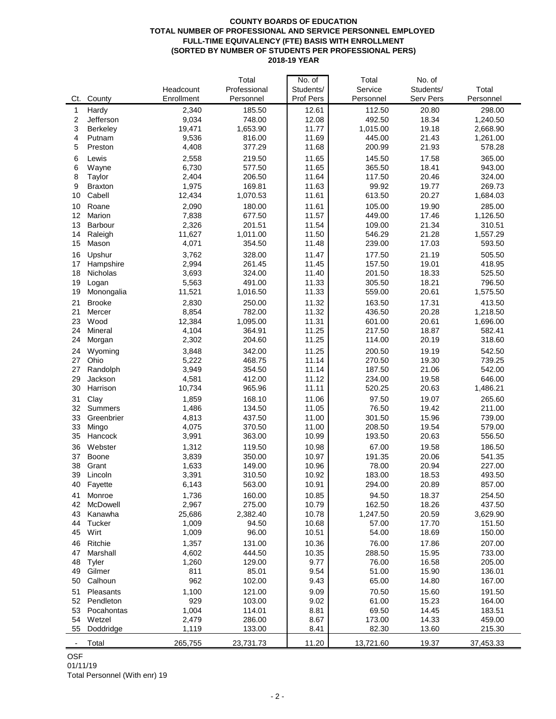#### **COUNTY BOARDS OF EDUCATION TOTAL NUMBER OF PROFESSIONAL AND SERVICE PERSONNEL EMPLOYED FULL-TIME EQUIVALENCY (FTE) BASIS WITH ENROLLMENT (SORTED BY NUMBER OF STUDENTS PER PROFESSIONAL PERS) 2018-19 YEAR**

|     |                |            | Total        | No. of    | Total     | No. of    |           |
|-----|----------------|------------|--------------|-----------|-----------|-----------|-----------|
|     |                | Headcount  | Professional | Students/ | Service   | Students/ | Total     |
| Ct. | County         | Enrollment | Personnel    | Prof Pers | Personnel | Serv Pers | Personnel |
| 1   | Hardy          | 2,340      | 185.50       | 12.61     | 112.50    | 20.80     | 298.00    |
| 2   | Jefferson      | 9,034      | 748.00       | 12.08     | 492.50    | 18.34     | 1,240.50  |
| 3   | Berkeley       | 19,471     | 1,653.90     | 11.77     | 1,015.00  | 19.18     | 2,668.90  |
| 4   | Putnam         | 9,536      | 816.00       | 11.69     | 445.00    | 21.43     | 1,261.00  |
| 5   | Preston        | 4,408      | 377.29       | 11.68     | 200.99    | 21.93     | 578.28    |
| 6   | Lewis          | 2,558      | 219.50       | 11.65     | 145.50    | 17.58     | 365.00    |
| 6   | Wayne          | 6,730      | 577.50       | 11.65     | 365.50    | 18.41     | 943.00    |
| 8   | Taylor         | 2,404      | 206.50       | 11.64     | 117.50    | 20.46     | 324.00    |
| 9   | <b>Braxton</b> | 1,975      | 169.81       | 11.63     | 99.92     | 19.77     | 269.73    |
| 10  | Cabell         | 12,434     | 1,070.53     | 11.61     | 613.50    | 20.27     | 1,684.03  |
| 10  | Roane          | 2,090      | 180.00       | 11.61     | 105.00    | 19.90     | 285.00    |
| 12  | Marion         | 7,838      | 677.50       | 11.57     | 449.00    | 17.46     | 1,126.50  |
| 13  | Barbour        | 2,326      | 201.51       | 11.54     | 109.00    | 21.34     | 310.51    |
| 14  | Raleigh        | 11,627     | 1,011.00     | 11.50     | 546.29    | 21.28     | 1,557.29  |
| 15  | Mason          | 4,071      | 354.50       | 11.48     | 239.00    | 17.03     | 593.50    |
| 16  | Upshur         | 3,762      | 328.00       | 11.47     | 177.50    | 21.19     | 505.50    |
|     |                |            | 261.45       |           |           |           |           |
| 17  | Hampshire      | 2,994      |              | 11.45     | 157.50    | 19.01     | 418.95    |
| 18  | Nicholas       | 3,693      | 324.00       | 11.40     | 201.50    | 18.33     | 525.50    |
| 19  | Logan          | 5,563      | 491.00       | 11.33     | 305.50    | 18.21     | 796.50    |
| 19  | Monongalia     | 11,521     | 1,016.50     | 11.33     | 559.00    | 20.61     | 1,575.50  |
| 21  | <b>Brooke</b>  | 2,830      | 250.00       | 11.32     | 163.50    | 17.31     | 413.50    |
| 21  | Mercer         | 8,854      | 782.00       | 11.32     | 436.50    | 20.28     | 1,218.50  |
| 23  | Wood           | 12,384     | 1,095.00     | 11.31     | 601.00    | 20.61     | 1,696.00  |
| 24  | Mineral        | 4,104      | 364.91       | 11.25     | 217.50    | 18.87     | 582.41    |
| 24  | Morgan         | 2,302      | 204.60       | 11.25     | 114.00    | 20.19     | 318.60    |
| 24  | Wyoming        | 3,848      | 342.00       | 11.25     | 200.50    | 19.19     | 542.50    |
| 27  | Ohio           | 5,222      | 468.75       | 11.14     | 270.50    | 19.30     | 739.25    |
| 27  | Randolph       | 3,949      | 354.50       | 11.14     | 187.50    | 21.06     | 542.00    |
| 29  | Jackson        | 4,581      | 412.00       | 11.12     | 234.00    | 19.58     | 646.00    |
| 30  | Harrison       | 10,734     | 965.96       | 11.11     | 520.25    | 20.63     | 1,486.21  |
| 31  | Clay           | 1,859      | 168.10       | 11.06     | 97.50     | 19.07     | 265.60    |
| 32  | Summers        | 1,486      | 134.50       | 11.05     | 76.50     | 19.42     | 211.00    |
| 33  | Greenbrier     | 4,813      | 437.50       | 11.00     | 301.50    | 15.96     | 739.00    |
| 33  | Mingo          | 4,075      | 370.50       | 11.00     | 208.50    | 19.54     | 579.00    |
| 35  | Hancock        | 3,991      | 363.00       | 10.99     | 193.50    | 20.63     | 556.50    |
| 36  | Webster        | 1,312      | 119.50       | 10.98     | 67.00     | 19.58     | 186.50    |
| 37  | Boone          | 3,839      | 350.00       | 10.97     | 191.35    | 20.06     | 541.35    |
| 38  | Grant          | 1,633      | 149.00       | 10.96     | 78.00     | 20.94     | 227.00    |
| 39  | Lincoln        | 3,391      | 310.50       | 10.92     | 183.00    | 18.53     | 493.50    |
|     | 40 Fayette     | 6,143      | 563.00       | 10.91     | 294.00    | 20.89     | 857.00    |
| 41  | Monroe         | 1,736      | 160.00       | 10.85     | 94.50     | 18.37     | 254.50    |
| 42  | McDowell       | 2,967      | 275.00       | 10.79     | 162.50    | 18.26     | 437.50    |
| 43  | Kanawha        | 25,686     | 2,382.40     | 10.78     | 1,247.50  | 20.59     | 3,629.90  |
| 44  | Tucker         | 1,009      | 94.50        | 10.68     | 57.00     | 17.70     | 151.50    |
| 45  | Wirt           | 1,009      | 96.00        | 10.51     | 54.00     | 18.69     | 150.00    |
| 46  | Ritchie        | 1,357      | 131.00       | 10.36     | 76.00     | 17.86     | 207.00    |
| 47  | Marshall       | 4,602      | 444.50       | 10.35     | 288.50    | 15.95     | 733.00    |
| 48  | Tyler          | 1,260      | 129.00       | 9.77      | 76.00     | 16.58     | 205.00    |
| 49  | Gilmer         | 811        | 85.01        | 9.54      | 51.00     | 15.90     | 136.01    |
| 50  | Calhoun        | 962        | 102.00       | 9.43      | 65.00     | 14.80     | 167.00    |
| 51  | Pleasants      | 1,100      | 121.00       | 9.09      | 70.50     | 15.60     | 191.50    |
| 52  | Pendleton      | 929        | 103.00       | 9.02      | 61.00     | 15.23     | 164.00    |
| 53  | Pocahontas     | 1,004      | 114.01       | 8.81      | 69.50     | 14.45     | 183.51    |
| 54  | Wetzel         | 2,479      | 286.00       | 8.67      | 173.00    | 14.33     | 459.00    |
| 55  | Doddridge      | 1,119      | 133.00       | 8.41      | 82.30     | 13.60     | 215.30    |
|     |                |            |              |           |           |           |           |
|     | Total          | 265,755    | 23,731.73    | 11.20     | 13,721.60 | 19.37     | 37,453.33 |

OSF

# 01/11/19

Total Personnel (With enr) 19